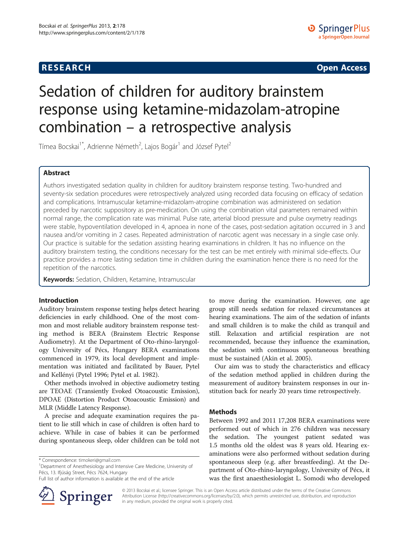## **RESEARCH RESEARCH CONSUMING ACCESS**

# Sedation of children for auditory brainstem response using ketamine-midazolam-atropine combination – a retrospective analysis

Tímea Bocskai<sup>1\*</sup>, Adrienne Németh<sup>2</sup>, Lajos Bogár<sup>1</sup> and József Pytel<sup>2</sup>

## Abstract

Authors investigated sedation quality in children for auditory brainstem response testing. Two-hundred and seventy-six sedation procedures were retrospectively analyzed using recorded data focusing on efficacy of sedation and complications. Intramuscular ketamine-midazolam-atropine combination was administered on sedation preceded by narcotic suppository as pre-medication. On using the combination vital parameters remained within normal range, the complication rate was minimal. Pulse rate, arterial blood pressure and pulse oxymetry readings were stable, hypoventilation developed in 4, apnoea in none of the cases, post-sedation agitation occurred in 3 and nausea and/or vomiting in 2 cases. Repeated administration of narcotic agent was necessary in a single case only. Our practice is suitable for the sedation assisting hearing examinations in children. It has no influence on the auditory brainstem testing, the conditions necessary for the test can be met entirely with minimal side-effects. Our practice provides a more lasting sedation time in children during the examination hence there is no need for the repetition of the narcotics.

Keywords: Sedation, Children, Ketamine, Intramuscular

## Introduction

Auditory brainstem response testing helps detect hearing deficiencies in early childhood. One of the most common and most reliable auditory brainstem response testing method is BERA (Brainstem Electric Response Audiometry). At the Department of Oto-rhino-laryngology University of Pécs, Hungary BERA examinations commenced in 1979, its local development and implementation was initiated and facilitated by Bauer, Pytel and Kellényi (Pytel [1996](#page-4-0); Pytel et al. [1982](#page-4-0)).

Other methods involved in objective audiometry testing are TEOAE (Transiently Evoked Otoacoustic Emission), DPOAE (Distortion Product Otoacoustic Emission) and MLR (Middle Latency Response).

A precise and adequate examination requires the patient to lie still which in case of children is often hard to achieve. While in case of babies it can be performed during spontaneous sleep, older children can be told not

<sup>1</sup>Department of Anesthesiology and Intensive Care Medicine, University of Pécs, 13. Ifjúság Street, Pécs 7624, Hungary

Full list of author information is available at the end of the article



to move during the examination. However, one age group still needs sedation for relaxed circumstances at hearing examinations. The aim of the sedation of infants and small children is to make the child as tranquil and still. Relaxation and artificial respiration are not recommended, because they influence the examination, the sedation with continuous spontaneous breathing must be sustained (Akin et al. [2005\)](#page-4-0).

Our aim was to study the characteristics and efficacy of the sedation method applied in children during the measurement of auditory brainstem responses in our institution back for nearly 20 years time retrospectively.

## Methods

Between 1992 and 2011 17,208 BERA examinations were performed out of which in 276 children was necessary the sedation. The youngest patient sedated was 1.5 months old the oldest was 8 years old. Hearing examinations were also performed without sedation during spontaneous sleep (e.g. after breastfeeding). At the Department of Oto-rhino-laryngology, University of Pécs, it was the first anaesthesiologist L. Somodi who developed

© 2013 Bocskai et al.; licensee Springer. This is an Open Access article distributed under the terms of the Creative Commons Attribution License [\(http://creativecommons.org/licenses/by/2.0\)](http://creativecommons.org/licenses/by/2.0), which permits unrestricted use, distribution, and reproduction in any medium, provided the original work is properly cited.

<sup>\*</sup> Correspondence: [timokeri@gmail.com](mailto:timokeri@gmail.com) <sup>1</sup>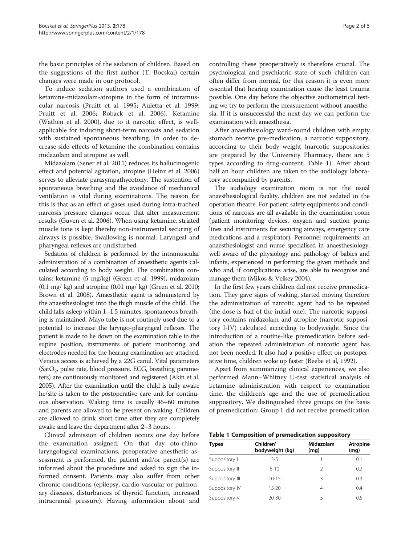the basic principles of the sedation of children. Based on the suggestions of the first author (T. Bocskai) certain changes were made in our protocol.

To induce sedation authors used a combination of ketamine-midazolam-atropine in the form of intramuscular narcosis (Pruitt et al. [1995](#page-4-0); Auletta et al. [1999](#page-4-0); Pruitt et al. [2006](#page-4-0); Roback et al. [2006\)](#page-4-0). Ketamine (Wathen et al. [2000\)](#page-4-0), due to it narcotic effect, is wellapplicable for inducing short-term narcosis and sedation with sustained spontaneous breathing. In order to decrease side-effects of ketamine the combination contains midazolam and atropine as well.

Midazolam (Sener et al. [2011\)](#page-4-0) reduces its hallucinogenic effect and potential agitation, atropine (Heinz et al. [2006](#page-4-0)) serves to alleviate parasympathycotony. The sustention of spontaneous breathing and the avoidance of mechanical ventilation is vital during examinations. The reason for this is that as an effect of gases used during intra-tracheal narcosis pressure changes occur that alter measurement results (Guven et al. [2006](#page-4-0)). When using ketamine, striated muscle tone is kept thereby non-instrumental securing of airways is possible. Swallowing is normal. Laryngeal and pharyngeal reflexes are undisturbed.

Sedation of children is performed by the intramuscular administration of a combination of anaesthetic agents calculated according to body weight. The combination contains: ketamine (5 mg/kg) (Green et al. [1999](#page-4-0)), midazolam  $(0.1 \text{ mg}/ \text{ kg})$  and atropine  $(0.01 \text{ mg}/ \text{ kg})$  (Green et al. [2010](#page-4-0); Brown et al. [2008\)](#page-4-0). Anaesthetic agent is administered by the anaesthesiologist into the thigh muscle of the child. The child falls asleep within 1–1.5 minutes, spontaneous breathing is maintained. Mayo tube is not routinely used due to a potential to increase the laryngo-pharyngeal reflexes. The patient is made to lie down on the examination table in the supine position, instruments of patient monitoring and electrodes needed for the hearing examination are attached. Venous access is achieved by a 22G canul. Vital parameters  $(SatO<sub>2</sub>, pulse rate, blood pressure, ECG, breathing parameter)$ ters) are continuously monitored and registered (Akin et al. [2005\)](#page-4-0). After the examination until the child is fully awake he/she is taken to the postoperative care unit for continuous observation. Waking time is usually 45–60 minutes and parents are allowed to be present on waking. Children are allowed to drink short time after they are completely awake and leave the department after 2–3 hours.

Clinical admission of children occurs one day before the examination assigned. On that day oto-rhinolaryngological examinations, preoperative anesthetic assessment is performed, the patient and/or parent(s) are informed about the procedure and asked to sign the informed consent. Patients may also suffer from other chronic conditions (epilepsy, cardio-vascular or pulmonary diseases, disturbances of thyroid function, increased intracranial pressure). Having information about and controlling these preoperatively is therefore crucial. The psychological and psychiatric state of such children can often differ from normal, for this reason it is even more essential that hearing examination cause the least trauma possible. One day before the objective audiometrical testing we try to perform the measurement without anaesthesia. If it is unsuccessful the next day we can perform the examination with anaesthesia.

After anaesthesiology ward-round children with empty stomach receive pre-medication, a narcotic suppository, according to their body weight (narcotic suppositories are prepared by the University Pharmacy, there are 5 types according to drug-content, Table 1). After about half an hour children are taken to the audiology laboratory accompanied by parents.

The audiology examination room is not the usual anaesthesiological facility, children are not sedated in the operation theatre. For patient safety equipments and conditions of narcosis are all available in the examination room (patient monitoring devices, oxygen and suction pump lines and instruments for securing airways, emergency care medications and a respirator). Personnel requirements: an anaesthesiologist and nurse specialised in anaesthesiology, well aware of the physiology and pathology of babies and infants, experienced in performing the given methods and who and, if complications arise, are able to recognise and manage them (Mikos & Velkey [2004](#page-4-0)).

In the first few years children did not receive premedication. They gave signs of waking, started moving therefore the administration of narcotic agent had to be repeated (the dose is half of the initial one). The narcotic suppository contains midazolam and atropine (narcotic suppository I-IV) calculated according to bodyweight. Since the introduction of a routine-like premedication before sedation the repeated administration of narcotic agent has not been needed. It also had a positive effect on postoperative time, children woke up faster (Beebe et al, [1992\)](#page-4-0).

Apart from summarizing clinical experiences, we also performed Mann–Whitney U-test statistical analysis of ketamine administration with respect to examination time, the children's age and the use of premedication suppository. We distinguished three groups on the basis of premedication: Group 1 did not receive premedication

|  |  |  |  | Table 1 Composition of premedication suppository |  |
|--|--|--|--|--------------------------------------------------|--|
|--|--|--|--|--------------------------------------------------|--|

| <b>Types</b>    | Children'<br>bodyweight (kg) | Midazolam<br>(mq) | <b>Atropine</b><br>(mq) |
|-----------------|------------------------------|-------------------|-------------------------|
| Suppository I   | $3 - 5$                      |                   | 0.1                     |
| Suppository II  | $5-10$                       | $\mathcal{P}$     | 0.2                     |
| Suppository III | $10 - 15$                    | 3                 | 0.3                     |
| Suppository IV  | $15-20$                      | 4                 | 0.4                     |
| Suppository V   | 20-30                        | 5                 | 0.5                     |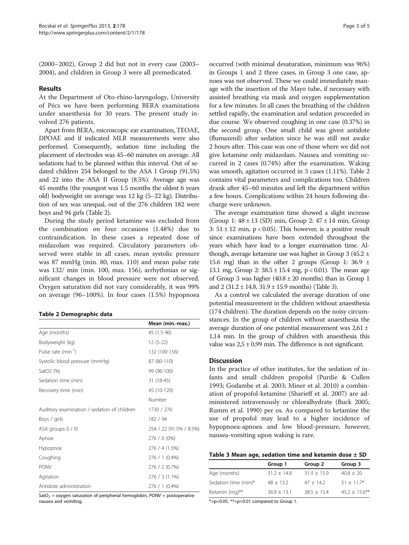(2000–2002), Group 2 did but not in every case (2003– 2004), and children in Group 3 were all premedicated.

## Results

At the Department of Oto-rhino-laryngology, University of Pécs we have been performing BERA examinations under anaesthesia for 30 years. The present study involved 276 patients.

Apart from BERA, microscopic ear examination, TEOAE, DPOAE and if indicated MLR measurements were also performed. Consequently, sedation time including the placement of electrodes was 45–60 minutes on average. All sedations had to be planned within this interval. Out of sedated children 254 belonged to the ASA I Group (91.5%) and 22 into the ASA II Group (8.5%). Average age was 45 months (the youngest was 1.5 months the oldest 6 years old) bodyweight on average was 12 kg (5–22 kg). Distribution of sex was unequal, out of the 276 children 182 were boys and 94 girls (Table 2).

During the study period ketamine was excluded from the combination on four occasions (1.48%) due to contraindication. In these cases a repeated dose of midazolam was required. Circulatory parameters observed were stable in all cases, mean systolic pressure was 87 mmHg (min. 80, max. 110) and mean pulse rate was 132/ min (min. 100, max. 156), arrhythmias or significant changes in blood pressure were not observed. Oxygen saturation did not vary considerably, it was 99% on average (96–100%). In four cases (1.5%) hypopnoea

|  |  | Table 2 Demographic data |  |
|--|--|--------------------------|--|
|--|--|--------------------------|--|

|                                             | Mean (min.-max.)        |
|---------------------------------------------|-------------------------|
| Age (months)                                | 45 (1.5-96)             |
| Bodyweight (kg)                             | $12(5-22)$              |
| Pulse rate $(min^{-1})$                     | 132 (100-156)           |
| Systolic blood pressure (mmHg)              | 87 (80-110)             |
| SatO2 (%)                                   | 99 (96-100)             |
| Sedation time (min)                         | 31 (18-45)              |
| Recovery time (min)                         | 45 (10-120)             |
|                                             | Number                  |
| Auditory examination / sedation of children | 1730 / 276              |
| Boys / girls                                | 182 / 94                |
| ASA groups (I / II)                         | 254 / 22 (91.5% / 8.5%) |
| Apnoe                                       | 276 / 0 (0%)            |
| Hypopnoe                                    | 276 / 4 (1.5%)          |
| Coughing                                    | 276 / 1 (0.4%)          |
| <b>PONV</b>                                 | 276 / 2 (0.7%)          |
| Agitation                                   | 276 / 3 (1.1%)          |
| Antidote administration                     | 276 / 1 (0.4%)          |

SatO<sub>2</sub> = oxygen saturation of peripherial hemoglobin, PONV = postoperative nausea and vomiting.

occurred (with minimal desaturation, minimum was 96%) in Groups 1 and 2 three cases, in Group 3 one case, apnoea was not observed. These we could immediately manage with the insertion of the Mayo tube, if necessary with assisted breathing via mask and oxygen supplementation for a few minutes. In all cases the breathing of the children settled rapidly, the examination and sedation proceeded in due course. We observed coughing in one case (0.37%) in the second group. One small child was given antidote (flumazenil) after sedation since he was still not awake 2 hours after. This case was one of those where we did not give ketamine only midazolam. Nausea and vomiting occurred in 2 cases (0.74%) after the examination. Waking was smooth, agitation occurred in 3 cases (1.11%). Table 2 contains vital parameters and complications too. Children drank after 45–60 minutes and left the department within a few hours. Complications within 24 hours following discharge were unknown.

The average examination time showed a slight increase (Group 1:  $48 \pm 13$  (SD) min, Group 2:  $47 \pm 14$  min, Group 3:  $51 \pm 12$  min,  $p < 0.05$ ). This however, is a positive result since examinations have been extended throughout the years which have lead to a longer examination time. Although, average ketamine use was higher in Group 3 (45.2  $\pm$ 15.6 mg) than in the other 2 groups (Group 1: 36.9  $\pm$ 13.1 mg, Group 2:  $38.5 \pm 15.4$  mg, p < 0.01). The mean age of Group 3 was higher  $(40.8 \pm 20 \text{ months})$  than in Group 1 and  $2$  (31.2  $\pm$  14.8, 31.9  $\pm$  15.9 months) (Table 3).

As a control we calculated the average duration of one potential measurement in the children without anaesthesia (174 children). The duration depends on the noisy circumstances. In the group of children without anaesthesia the average duration of one potential measurement was 2,61 ± 1,14 min. In the group of children with anaesthesia this value was  $2.5 \pm 0.99$  min. The difference is not significant.

## **Discussion**

In the practice of other institutes, for the sedation of infants and small children propofol (Purdie & Cullen [1993](#page-4-0); Godambe et al. [2003;](#page-4-0) Miner et al. [2010\)](#page-4-0) a combination of propofol-ketamine (Sharieff et al. [2007](#page-4-0)) are administered intravenously or chloralhydrate (Buck [2005](#page-4-0); Rumm et al. [1990](#page-4-0)) per os. As compared to ketamine the use of propofol may lead to a higher incidence of hypopnoea-apnoea and low blood-pressure, however, nausea-vomiting upon waking is rare.

|  |  | Table 3 Mean age, sedation time and ketamin dose $\pm$ SD |  |
|--|--|-----------------------------------------------------------|--|
|--|--|-----------------------------------------------------------|--|

|                      | Group 1       | Group 2       | Group 3          |
|----------------------|---------------|---------------|------------------|
| Age (months)         | $31.2 + 14.8$ | $31.9 + 15.9$ | $40.8 + 20$      |
| Sedation time (min)* | $48 + 13.2$   | $47 + 14.2$   | $51 + 11.7*$     |
| Ketamin (mg)**       | $36.9 + 13.1$ | $38.5 + 15.4$ | $45.2 + 15.6***$ |

 $* = p < 0.05$ ,  $* = p < 0.01$  compared to Group 1.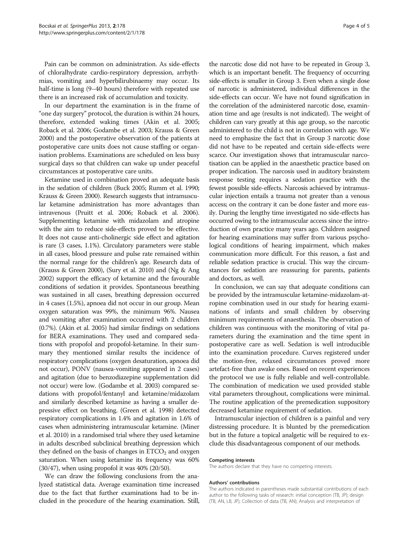Pain can be common on administration. As side-effects of chloralhydrate cardio-respiratory depression, arrhythmias, vomiting and hyperbilirubinaemy may occur. Its half-time is long (9–40 hours) therefore with repeated use there is an increased risk of accumulation and toxicity.

In our department the examination is in the frame of "one day surgery" protocol, the duration is within 24 hours, therefore, extended waking times (Akin et al. [2005](#page-4-0); Roback et al. [2006](#page-4-0); Godambe et al. [2003](#page-4-0); Krauss & Green [2000\)](#page-4-0) and the postoperative observation of the patients at postoperative care units does not cause staffing or organisation problems. Examinations are scheduled on less busy surgical days so that children can wake up under peaceful circumstances at postoperative care units.

Ketamine used in combination proved an adequate basis in the sedation of children (Buck [2005](#page-4-0); Rumm et al. [1990](#page-4-0); Krauss & Green [2000](#page-4-0)). Research suggests that intramuscular ketamine administration has more advantages than intravenous (Pruitt et al. [2006](#page-4-0); Roback et al. [2006](#page-4-0)). Supplementing ketamine with midazolam and atropine with the aim to reduce side-effects proved to be effective. It does not cause anti-cholinergic side effect and agitation is rare (3 cases, 1.1%). Circulatory parameters were stable in all cases, blood pressure and pulse rate remained within the normal range for the children's age. Research data of (Krauss & Green [2000\)](#page-4-0), (Sury et al. [2010\)](#page-4-0) and (Ng & Ang [2002\)](#page-4-0) support the efficacy of ketamine and the favourable conditions of sedation it provides. Spontaneous breathing was sustained in all cases, breathing depression occurred in 4 cases (1.5%), apnoea did not occur in our group. Mean oxygen saturation was 99%, the minimum 96%. Nausea and vomiting after examination occurred with 2 children (0.7%). (Akin et al. [2005\)](#page-4-0) had similar findings on sedations for BERA examinations. They used and compared sedations with propofol and propofol-ketamine. In their summary they mentioned similar results the incidence of respiratory complications (oxygen desaturation, apnoea did not occur), PONV (nausea-vomiting appeared in 2 cases) and agitation (due to benzodiazepine supplementation did not occur) were low. (Godambe et al. [2003\)](#page-4-0) compared sedations with propofol/fentanyl and ketamine/midazolam and similarly described ketamine as having a smaller depressive effect on breathing. (Green et al. [1998\)](#page-4-0) detected respiratory complications in 1.4% and agitation in 1.6% of cases when administering intramuscular ketamine. (Miner et al. [2010\)](#page-4-0) in a randomised trial where they used ketamine in adults described subclinical breathing depression which they defined on the basis of changes in  $ETCO<sub>2</sub>$  and oxygen saturation. When using ketamine its frequency was 60% (30/47), when using propofol it was 40% (20/50).

We can draw the following conclusions from the analyzed statistical data. Average examination time increased due to the fact that further examinations had to be included in the procedure of the hearing examination. Still,

the narcotic dose did not have to be repeated in Group 3, which is an important benefit. The frequency of occurring side-effects is smaller in Group 3. Even when a single dose of narcotic is administered, individual differences in the side-effects can occur. We have not found signification in the correlation of the administered narcotic dose, examination time and age (results is not indicated). The weight of children can vary greatly at this age group, so the narcotic administered to the child is not in correlation with age. We need to emphasize the fact that in Group 3 narcotic dose did not have to be repeated and certain side-effects were scarce. Our investigation shows that intramuscular narcotisation can be applied in the anaesthetic practice based on proper indication. The narcosis used in auditory brainstem response testing requires a sedation practice with the fewest possible side-effects. Narcosis achieved by intramuscular injection entails a trauma not greater than a venous access; on the contrary it can be done faster and more easily. During the lengthy time investigated no side-effects has occurred owing to the intramuscular access since the introduction of own practice many years ago. Children assigned for hearing examinations may suffer from various psychological conditions of hearing impairment, which makes communication more difficult. For this reason, a fast and reliable sedation practice is crucial. This way the circumstances for sedation are reassuring for parents, patients and doctors, as well.

In conclusion, we can say that adequate conditions can be provided by the intramuscular ketamine-midazolam-atropine combination used in our study for hearing examinations of infants and small children by observing minimum requirements of anaesthesia. The observation of children was continuous with the monitoring of vital parameters during the examination and the time spent in postoperative care as well. Sedation is well introducible into the examination procedure. Curves registered under the motion-free, relaxed circumstances proved more artefact-free than awake ones. Based on recent experiences the protocol we use is fully reliable and well-controllable. The combination of medication we used provided stable vital parameters throughout, complications were minimal. The routine application of the premedication suppository decreased ketamine requirement of sedation.

Intramuscular injection of children is a painful and very distressing procedure. It is blunted by the premedication but in the future a topical analgetic will be required to exclude this disadvantageous component of our methods.

#### Competing interests

The authors declare that they have no competing interests.

#### Authors' contributions

The authors indicated in parentheses made substantial contributions of each author to the following tasks of research: initial conception (TB, JP); design (TB, AN, LB, JP), Collection of data (TB, AN); Analysis and interpretation of